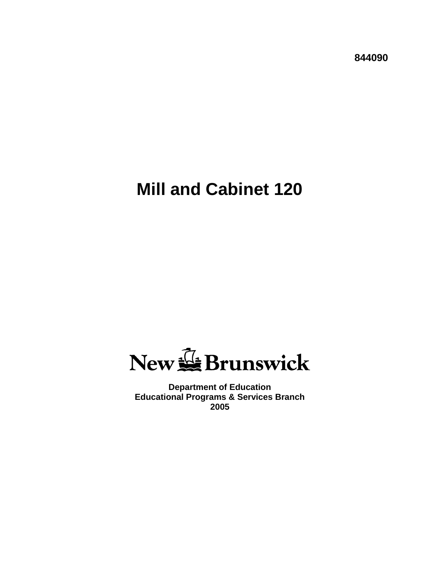**844090**

# **Mill and Cabinet 120**

New & Brunswick

**Department of Education Educational Programs & Services Branch 2005**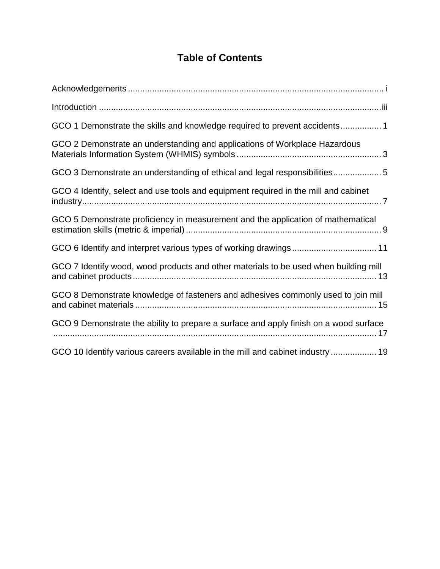# **Table of Contents**

| GCO 1 Demonstrate the skills and knowledge required to prevent accidents1             |
|---------------------------------------------------------------------------------------|
| GCO 2 Demonstrate an understanding and applications of Workplace Hazardous            |
| GCO 3 Demonstrate an understanding of ethical and legal responsibilities5             |
| GCO 4 Identify, select and use tools and equipment required in the mill and cabinet   |
| GCO 5 Demonstrate proficiency in measurement and the application of mathematical      |
| GCO 6 Identify and interpret various types of working drawings 11                     |
| GCO 7 Identify wood, wood products and other materials to be used when building mill  |
| GCO 8 Demonstrate knowledge of fasteners and adhesives commonly used to join mill     |
| GCO 9 Demonstrate the ability to prepare a surface and apply finish on a wood surface |
| GCO 10 Identify various careers available in the mill and cabinet industry  19        |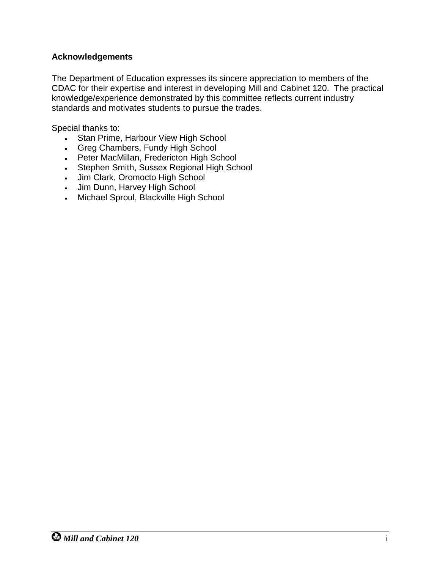#### <span id="page-2-0"></span>**Acknowledgements**

The Department of Education expresses its sincere appreciation to members of the CDAC for their expertise and interest in developing Mill and Cabinet 120. The practical knowledge/experience demonstrated by this committee reflects current industry standards and motivates students to pursue the trades.

Special thanks to:

- Stan Prime, Harbour View High School
- Greg Chambers, Fundy High School
- Peter MacMillan, Fredericton High School
- Stephen Smith, Sussex Regional High School
- Jim Clark, Oromocto High School
- Jim Dunn, Harvey High School
- Michael Sproul, Blackville High School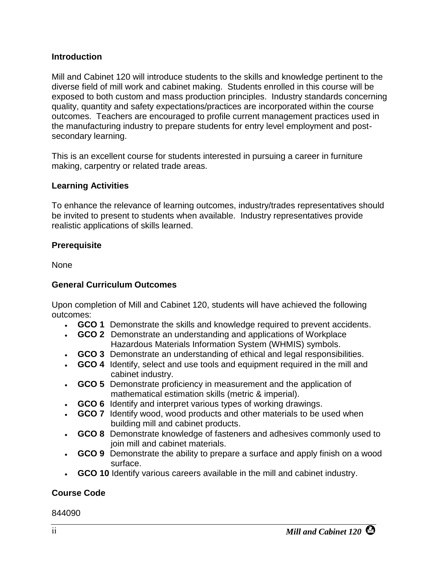#### <span id="page-4-0"></span>**Introduction**

Mill and Cabinet 120 will introduce students to the skills and knowledge pertinent to the diverse field of mill work and cabinet making. Students enrolled in this course will be exposed to both custom and mass production principles. Industry standards concerning quality, quantity and safety expectations/practices are incorporated within the course outcomes. Teachers are encouraged to profile current management practices used in the manufacturing industry to prepare students for entry level employment and postsecondary learning.

This is an excellent course for students interested in pursuing a career in furniture making, carpentry or related trade areas.

#### **Learning Activities**

To enhance the relevance of learning outcomes, industry/trades representatives should be invited to present to students when available. Industry representatives provide realistic applications of skills learned.

#### **Prerequisite**

None

#### **General Curriculum Outcomes**

Upon completion of Mill and Cabinet 120, students will have achieved the following outcomes:

- **GCO 1** Demonstrate the skills and knowledge required to prevent accidents.
- **GCO 2** Demonstrate an understanding and applications of Workplace Hazardous Materials Information System (WHMIS) symbols.
- **GCO 3** Demonstrate an understanding of ethical and legal responsibilities.
- **GCO 4** Identify, select and use tools and equipment required in the mill and cabinet industry.
- **GCO 5** Demonstrate proficiency in measurement and the application of mathematical estimation skills (metric & imperial).
- **GCO 6** Identify and interpret various types of working drawings.
- **GCO 7** Identify wood, wood products and other materials to be used when building mill and cabinet products.
- **GCO 8** Demonstrate knowledge of fasteners and adhesives commonly used to join mill and cabinet materials.
- **GCO 9** Demonstrate the ability to prepare a surface and apply finish on a wood surface.
- **GCO 10** Identify various careers available in the mill and cabinet industry.

### **Course Code**

#### 844090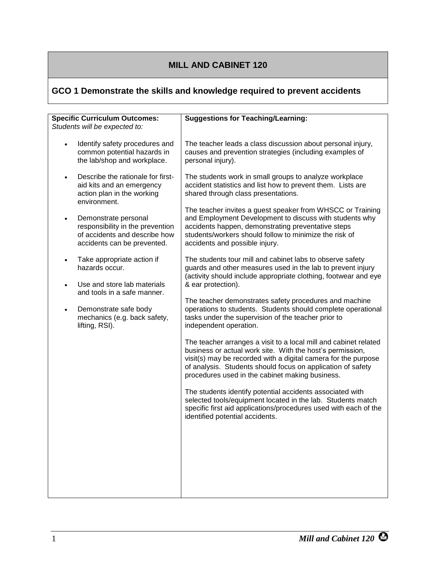# <span id="page-6-0"></span>**GCO 1 Demonstrate the skills and knowledge required to prevent accidents**

| <b>Specific Curriculum Outcomes:</b><br>Students will be expected to:                                                                 | <b>Suggestions for Teaching/Learning:</b>                                                                                                                                                                                                                                                                         |
|---------------------------------------------------------------------------------------------------------------------------------------|-------------------------------------------------------------------------------------------------------------------------------------------------------------------------------------------------------------------------------------------------------------------------------------------------------------------|
| Identify safety procedures and<br>common potential hazards in<br>the lab/shop and workplace.                                          | The teacher leads a class discussion about personal injury,<br>causes and prevention strategies (including examples of<br>personal injury).                                                                                                                                                                       |
| Describe the rationale for first-<br>$\bullet$<br>aid kits and an emergency<br>action plan in the working<br>environment.             | The students work in small groups to analyze workplace<br>accident statistics and list how to prevent them. Lists are<br>shared through class presentations.                                                                                                                                                      |
| Demonstrate personal<br>$\bullet$<br>responsibility in the prevention<br>of accidents and describe how<br>accidents can be prevented. | The teacher invites a guest speaker from WHSCC or Training<br>and Employment Development to discuss with students why<br>accidents happen, demonstrating preventative steps<br>students/workers should follow to minimize the risk of<br>accidents and possible injury.                                           |
| Take appropriate action if<br>$\bullet$<br>hazards occur.                                                                             | The students tour mill and cabinet labs to observe safety<br>guards and other measures used in the lab to prevent injury<br>(activity should include appropriate clothing, footwear and eye                                                                                                                       |
| Use and store lab materials<br>$\bullet$<br>and tools in a safe manner.                                                               | & ear protection).                                                                                                                                                                                                                                                                                                |
| Demonstrate safe body<br>$\bullet$<br>mechanics (e.g. back safety,<br>lifting, RSI).                                                  | The teacher demonstrates safety procedures and machine<br>operations to students. Students should complete operational<br>tasks under the supervision of the teacher prior to<br>independent operation.                                                                                                           |
|                                                                                                                                       | The teacher arranges a visit to a local mill and cabinet related<br>business or actual work site. With the host's permission,<br>visit(s) may be recorded with a digital camera for the purpose<br>of analysis. Students should focus on application of safety<br>procedures used in the cabinet making business. |
|                                                                                                                                       | The students identify potential accidents associated with<br>selected tools/equipment located in the lab. Students match<br>specific first aid applications/procedures used with each of the<br>identified potential accidents.                                                                                   |
|                                                                                                                                       |                                                                                                                                                                                                                                                                                                                   |
|                                                                                                                                       |                                                                                                                                                                                                                                                                                                                   |
|                                                                                                                                       |                                                                                                                                                                                                                                                                                                                   |
|                                                                                                                                       |                                                                                                                                                                                                                                                                                                                   |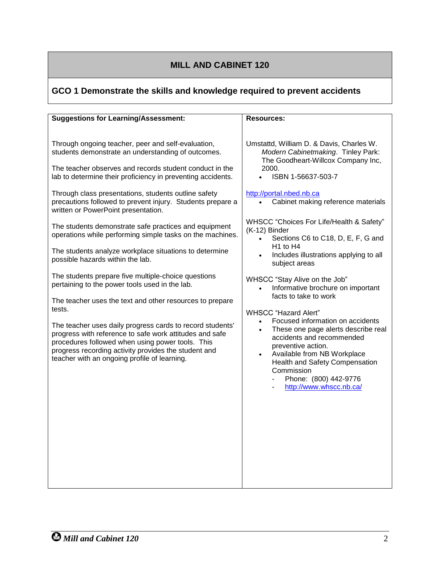# **GCO 1 Demonstrate the skills and knowledge required to prevent accidents**

| Umstattd, William D. & Davis, Charles W.<br>Through ongoing teacher, peer and self-evaluation,<br>students demonstrate an understanding of outcomes.<br>Modern Cabinetmaking. Tinley Park:<br>The Goodheart-Willcox Company Inc,<br>The teacher observes and records student conduct in the<br>2000.<br>ISBN 1-56637-503-7<br>lab to determine their proficiency in preventing accidents.<br>http://portal.nbed.nb.ca<br>Through class presentations, students outline safety<br>precautions followed to prevent injury. Students prepare a<br>Cabinet making reference materials<br>$\bullet$<br>written or PowerPoint presentation.<br>WHSCC "Choices For Life/Health & Safety"<br>The students demonstrate safe practices and equipment<br>(K-12) Binder<br>operations while performing simple tasks on the machines.<br>Sections C6 to C18, D, E, F, G and<br>$\bullet$<br>H <sub>1</sub> to H <sub>4</sub><br>The students analyze workplace situations to determine<br>Includes illustrations applying to all<br>possible hazards within the lab.<br>subject areas<br>The students prepare five multiple-choice questions<br>WHSCC "Stay Alive on the Job"<br>pertaining to the power tools used in the lab.<br>Informative brochure on important<br>facts to take to work<br>The teacher uses the text and other resources to prepare<br>tests.<br><b>WHSCC</b> "Hazard Alert"<br>Focused information on accidents<br>The teacher uses daily progress cards to record students'<br>These one page alerts describe real<br>progress with reference to safe work attitudes and safe<br>accidents and recommended<br>procedures followed when using power tools. This<br>preventive action.<br>progress recording activity provides the student and<br>Available from NB Workplace<br>$\bullet$<br>teacher with an ongoing profile of learning.<br>Health and Safety Compensation<br>Commission<br>Phone: (800) 442-9776<br>http://www.whscc.nb.ca/ | <b>Suggestions for Learning/Assessment:</b> | <b>Resources:</b> |
|---------------------------------------------------------------------------------------------------------------------------------------------------------------------------------------------------------------------------------------------------------------------------------------------------------------------------------------------------------------------------------------------------------------------------------------------------------------------------------------------------------------------------------------------------------------------------------------------------------------------------------------------------------------------------------------------------------------------------------------------------------------------------------------------------------------------------------------------------------------------------------------------------------------------------------------------------------------------------------------------------------------------------------------------------------------------------------------------------------------------------------------------------------------------------------------------------------------------------------------------------------------------------------------------------------------------------------------------------------------------------------------------------------------------------------------------------------------------------------------------------------------------------------------------------------------------------------------------------------------------------------------------------------------------------------------------------------------------------------------------------------------------------------------------------------------------------------------------------------------------------------------------------------------------------------------------------------|---------------------------------------------|-------------------|
|                                                                                                                                                                                                                                                                                                                                                                                                                                                                                                                                                                                                                                                                                                                                                                                                                                                                                                                                                                                                                                                                                                                                                                                                                                                                                                                                                                                                                                                                                                                                                                                                                                                                                                                                                                                                                                                                                                                                                         |                                             |                   |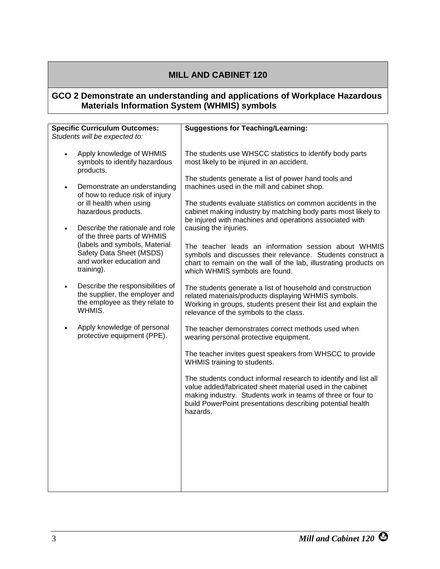#### <span id="page-8-0"></span>**GCO 2 Demonstrate an understanding and applications of Workplace Hazardous Materials Information System (WHMIS) symbols**

| <b>Specific Curriculum Outcomes:</b>                                                                           | <b>Suggestions for Teaching/Learning:</b>                                                                                                                                                                                                                             |
|----------------------------------------------------------------------------------------------------------------|-----------------------------------------------------------------------------------------------------------------------------------------------------------------------------------------------------------------------------------------------------------------------|
| Students will be expected to:                                                                                  |                                                                                                                                                                                                                                                                       |
|                                                                                                                |                                                                                                                                                                                                                                                                       |
| Apply knowledge of WHMIS<br>$\bullet$<br>symbols to identify hazardous<br>products.                            | The students use WHSCC statistics to identify body parts<br>most likely to be injured in an accident.                                                                                                                                                                 |
|                                                                                                                | The students generate a list of power hand tools and                                                                                                                                                                                                                  |
| Demonstrate an understanding<br>$\bullet$<br>of how to reduce risk of injury                                   | machines used in the mill and cabinet shop.                                                                                                                                                                                                                           |
| or ill health when using<br>hazardous products.                                                                | The students evaluate statistics on common accidents in the<br>cabinet making industry by matching body parts most likely to<br>be injured with machines and operations associated with                                                                               |
| Describe the rationale and role<br>$\bullet$<br>of the three parts of WHMIS                                    | causing the injuries.                                                                                                                                                                                                                                                 |
| (labels and symbols, Material<br>Safety Data Sheet (MSDS)<br>and worker education and<br>training).            | The teacher leads an information session about WHMIS<br>symbols and discusses their relevance. Students construct a<br>chart to remain on the wall of the lab, illustrating products on<br>which WHMIS symbols are found.                                             |
| Describe the responsibilities of<br>the supplier, the employer and<br>the employee as they relate to<br>WHMIS. | The students generate a list of household and construction<br>related materials/products displaying WHMIS symbols.<br>Working in groups, students present their list and explain the<br>relevance of the symbols to the class.                                        |
| Apply knowledge of personal<br>$\bullet$<br>protective equipment (PPE).                                        | The teacher demonstrates correct methods used when<br>wearing personal protective equipment.                                                                                                                                                                          |
|                                                                                                                | The teacher invites guest speakers from WHSCC to provide<br>WHMIS training to students.                                                                                                                                                                               |
|                                                                                                                | The students conduct informal research to identify and list all<br>value added/fabricated sheet material used in the cabinet<br>making industry. Students work in teams of three or four to<br>build PowerPoint presentations describing potential health<br>hazards. |
|                                                                                                                |                                                                                                                                                                                                                                                                       |
|                                                                                                                |                                                                                                                                                                                                                                                                       |
|                                                                                                                |                                                                                                                                                                                                                                                                       |
|                                                                                                                |                                                                                                                                                                                                                                                                       |
|                                                                                                                |                                                                                                                                                                                                                                                                       |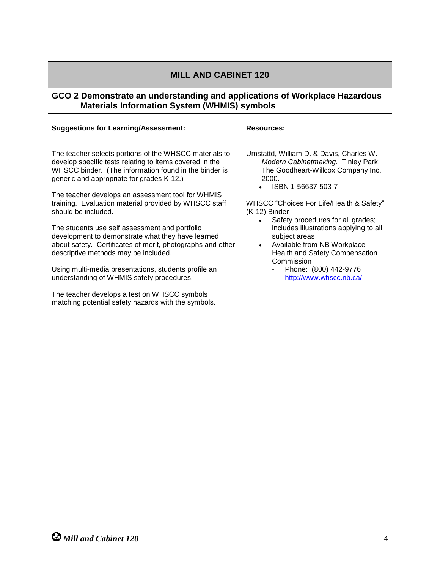#### **GCO 2 Demonstrate an understanding and applications of Workplace Hazardous Materials Information System (WHMIS) symbols**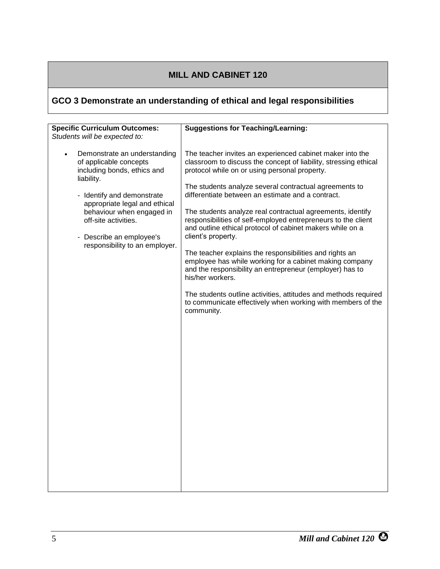# <span id="page-10-0"></span>**GCO 3 Demonstrate an understanding of ethical and legal responsibilities**

| <b>Specific Curriculum Outcomes:</b>                                                                                                                                                                                                                                                                                                | <b>Suggestions for Teaching/Learning:</b>                                                                                                                                                                                                                                                                                                                                                                                                                                                                                                                                                                                                                                                                             |
|-------------------------------------------------------------------------------------------------------------------------------------------------------------------------------------------------------------------------------------------------------------------------------------------------------------------------------------|-----------------------------------------------------------------------------------------------------------------------------------------------------------------------------------------------------------------------------------------------------------------------------------------------------------------------------------------------------------------------------------------------------------------------------------------------------------------------------------------------------------------------------------------------------------------------------------------------------------------------------------------------------------------------------------------------------------------------|
|                                                                                                                                                                                                                                                                                                                                     |                                                                                                                                                                                                                                                                                                                                                                                                                                                                                                                                                                                                                                                                                                                       |
| Students will be expected to:<br>Demonstrate an understanding<br>$\bullet$<br>of applicable concepts<br>including bonds, ethics and<br>liability.<br>- Identify and demonstrate<br>appropriate legal and ethical<br>behaviour when engaged in<br>off-site activities.<br>- Describe an employee's<br>responsibility to an employer. | The teacher invites an experienced cabinet maker into the<br>classroom to discuss the concept of liability, stressing ethical<br>protocol while on or using personal property.<br>The students analyze several contractual agreements to<br>differentiate between an estimate and a contract.<br>The students analyze real contractual agreements, identify<br>responsibilities of self-employed entrepreneurs to the client<br>and outline ethical protocol of cabinet makers while on a<br>client's property.<br>The teacher explains the responsibilities and rights an<br>employee has while working for a cabinet making company<br>and the responsibility an entrepreneur (employer) has to<br>his/her workers. |
|                                                                                                                                                                                                                                                                                                                                     | The students outline activities, attitudes and methods required<br>to communicate effectively when working with members of the<br>community.                                                                                                                                                                                                                                                                                                                                                                                                                                                                                                                                                                          |
|                                                                                                                                                                                                                                                                                                                                     |                                                                                                                                                                                                                                                                                                                                                                                                                                                                                                                                                                                                                                                                                                                       |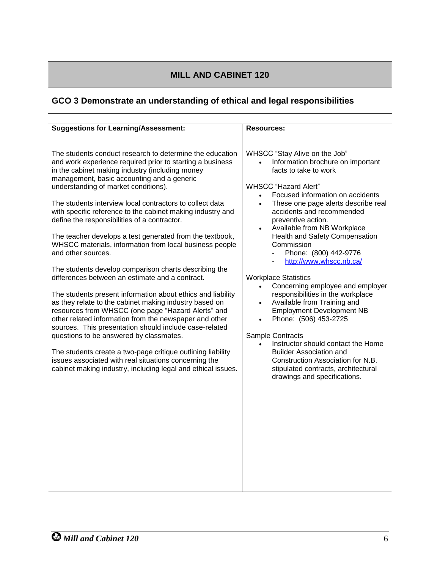# **GCO 3 Demonstrate an understanding of ethical and legal responsibilities**

| <b>Suggestions for Learning/Assessment:</b>                                                                                                                                                                                                                                                                                                                                                                                                                                                                                                                                                                                                                                                                                                                                                                                                                                                                                                                                                                                                                                                                                                                                                                                             | <b>Resources:</b>                                                                                                                                                                                                                                                                                                                                                                                                                                                                                                                                                                                                                                                                                                                                                                                                    |
|-----------------------------------------------------------------------------------------------------------------------------------------------------------------------------------------------------------------------------------------------------------------------------------------------------------------------------------------------------------------------------------------------------------------------------------------------------------------------------------------------------------------------------------------------------------------------------------------------------------------------------------------------------------------------------------------------------------------------------------------------------------------------------------------------------------------------------------------------------------------------------------------------------------------------------------------------------------------------------------------------------------------------------------------------------------------------------------------------------------------------------------------------------------------------------------------------------------------------------------------|----------------------------------------------------------------------------------------------------------------------------------------------------------------------------------------------------------------------------------------------------------------------------------------------------------------------------------------------------------------------------------------------------------------------------------------------------------------------------------------------------------------------------------------------------------------------------------------------------------------------------------------------------------------------------------------------------------------------------------------------------------------------------------------------------------------------|
| The students conduct research to determine the education<br>and work experience required prior to starting a business<br>in the cabinet making industry (including money<br>management, basic accounting and a generic<br>understanding of market conditions).<br>The students interview local contractors to collect data<br>with specific reference to the cabinet making industry and<br>define the responsibilities of a contractor.<br>The teacher develops a test generated from the textbook,<br>WHSCC materials, information from local business people<br>and other sources.<br>The students develop comparison charts describing the<br>differences between an estimate and a contract.<br>The students present information about ethics and liability<br>as they relate to the cabinet making industry based on<br>resources from WHSCC (one page "Hazard Alerts" and<br>other related information from the newspaper and other<br>sources. This presentation should include case-related<br>questions to be answered by classmates.<br>The students create a two-page critique outlining liability<br>issues associated with real situations concerning the<br>cabinet making industry, including legal and ethical issues. | WHSCC "Stay Alive on the Job"<br>Information brochure on important<br>facts to take to work<br><b>WHSCC</b> "Hazard Alert"<br>Focused information on accidents<br>These one page alerts describe real<br>$\bullet$<br>accidents and recommended<br>preventive action.<br>Available from NB Workplace<br>Health and Safety Compensation<br>Commission<br>Phone: (800) 442-9776<br>http://www.whscc.nb.ca/<br><b>Workplace Statistics</b><br>Concerning employee and employer<br>responsibilities in the workplace<br>Available from Training and<br><b>Employment Development NB</b><br>Phone: (506) 453-2725<br>Sample Contracts<br>Instructor should contact the Home<br><b>Builder Association and</b><br>Construction Association for N.B.<br>stipulated contracts, architectural<br>drawings and specifications. |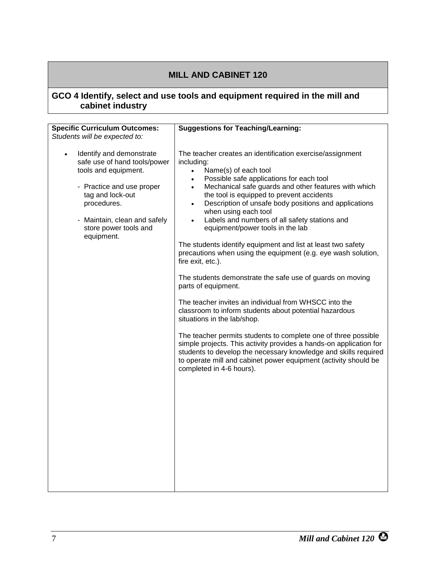#### <span id="page-12-0"></span>**GCO 4 Identify, select and use tools and equipment required in the mill and cabinet industry**

| <b>Specific Curriculum Outcomes:</b>                                                                                                                                                                                                 | <b>Suggestions for Teaching/Learning:</b>                                                                                                                                                                                                                                                                                                                                                                                                                                               |
|--------------------------------------------------------------------------------------------------------------------------------------------------------------------------------------------------------------------------------------|-----------------------------------------------------------------------------------------------------------------------------------------------------------------------------------------------------------------------------------------------------------------------------------------------------------------------------------------------------------------------------------------------------------------------------------------------------------------------------------------|
| Students will be expected to:                                                                                                                                                                                                        |                                                                                                                                                                                                                                                                                                                                                                                                                                                                                         |
| Identify and demonstrate<br>$\bullet$<br>safe use of hand tools/power<br>tools and equipment.<br>- Practice and use proper<br>tag and lock-out<br>procedures.<br>- Maintain, clean and safely<br>store power tools and<br>equipment. | The teacher creates an identification exercise/assignment<br>including:<br>Name(s) of each tool<br>$\bullet$<br>Possible safe applications for each tool<br>$\bullet$<br>Mechanical safe guards and other features with which<br>$\bullet$<br>the tool is equipped to prevent accidents<br>Description of unsafe body positions and applications<br>$\bullet$<br>when using each tool<br>Labels and numbers of all safety stations and<br>$\bullet$<br>equipment/power tools in the lab |
|                                                                                                                                                                                                                                      | The students identify equipment and list at least two safety<br>precautions when using the equipment (e.g. eye wash solution,<br>fire exit, etc.).                                                                                                                                                                                                                                                                                                                                      |
|                                                                                                                                                                                                                                      | The students demonstrate the safe use of guards on moving<br>parts of equipment.                                                                                                                                                                                                                                                                                                                                                                                                        |
|                                                                                                                                                                                                                                      | The teacher invites an individual from WHSCC into the<br>classroom to inform students about potential hazardous<br>situations in the lab/shop.                                                                                                                                                                                                                                                                                                                                          |
|                                                                                                                                                                                                                                      | The teacher permits students to complete one of three possible<br>simple projects. This activity provides a hands-on application for<br>students to develop the necessary knowledge and skills required<br>to operate mill and cabinet power equipment (activity should be<br>completed in 4-6 hours).                                                                                                                                                                                  |
|                                                                                                                                                                                                                                      |                                                                                                                                                                                                                                                                                                                                                                                                                                                                                         |
|                                                                                                                                                                                                                                      |                                                                                                                                                                                                                                                                                                                                                                                                                                                                                         |
|                                                                                                                                                                                                                                      |                                                                                                                                                                                                                                                                                                                                                                                                                                                                                         |
|                                                                                                                                                                                                                                      |                                                                                                                                                                                                                                                                                                                                                                                                                                                                                         |
|                                                                                                                                                                                                                                      |                                                                                                                                                                                                                                                                                                                                                                                                                                                                                         |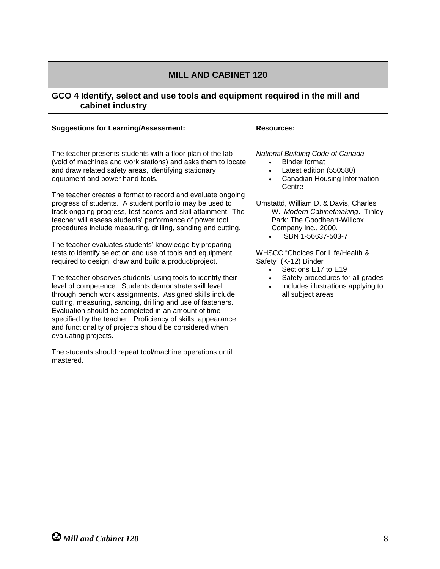#### **GCO 4 Identify, select and use tools and equipment required in the mill and cabinet industry**

| <b>Suggestions for Learning/Assessment:</b>                                                                                                                                                                                                                                                                                                                                                                                                                                                                                                                                                                                                                                                                                                                                                                                                                                                                                                                                                                                                                                                                                                                                                                                                                         | <b>Resources:</b>                                                                                                                                                                                                                                                                                                                                                                                                                                                                                                            |
|---------------------------------------------------------------------------------------------------------------------------------------------------------------------------------------------------------------------------------------------------------------------------------------------------------------------------------------------------------------------------------------------------------------------------------------------------------------------------------------------------------------------------------------------------------------------------------------------------------------------------------------------------------------------------------------------------------------------------------------------------------------------------------------------------------------------------------------------------------------------------------------------------------------------------------------------------------------------------------------------------------------------------------------------------------------------------------------------------------------------------------------------------------------------------------------------------------------------------------------------------------------------|------------------------------------------------------------------------------------------------------------------------------------------------------------------------------------------------------------------------------------------------------------------------------------------------------------------------------------------------------------------------------------------------------------------------------------------------------------------------------------------------------------------------------|
| The teacher presents students with a floor plan of the lab<br>(void of machines and work stations) and asks them to locate<br>and draw related safety areas, identifying stationary<br>equipment and power hand tools.<br>The teacher creates a format to record and evaluate ongoing<br>progress of students. A student portfolio may be used to<br>track ongoing progress, test scores and skill attainment. The<br>teacher will assess students' performance of power tool<br>procedures include measuring, drilling, sanding and cutting.<br>The teacher evaluates students' knowledge by preparing<br>tests to identify selection and use of tools and equipment<br>required to design, draw and build a product/project.<br>The teacher observes students' using tools to identify their<br>level of competence. Students demonstrate skill level<br>through bench work assignments. Assigned skills include<br>cutting, measuring, sanding, drilling and use of fasteners.<br>Evaluation should be completed in an amount of time<br>specified by the teacher. Proficiency of skills, appearance<br>and functionality of projects should be considered when<br>evaluating projects.<br>The students should repeat tool/machine operations until<br>mastered. | National Building Code of Canada<br><b>Binder format</b><br>Latest edition (550580)<br>$\bullet$<br>Canadian Housing Information<br>$\bullet$<br>Centre<br>Umstattd, William D. & Davis, Charles<br>W. Modern Cabinetmaking. Tinley<br>Park: The Goodheart-Willcox<br>Company Inc., 2000.<br>ISBN 1-56637-503-7<br>WHSCC "Choices For Life/Health &<br>Safety" (K-12) Binder<br>Sections E17 to E19<br>$\bullet$<br>Safety procedures for all grades<br>$\bullet$<br>Includes illustrations applying to<br>all subject areas |
|                                                                                                                                                                                                                                                                                                                                                                                                                                                                                                                                                                                                                                                                                                                                                                                                                                                                                                                                                                                                                                                                                                                                                                                                                                                                     |                                                                                                                                                                                                                                                                                                                                                                                                                                                                                                                              |
|                                                                                                                                                                                                                                                                                                                                                                                                                                                                                                                                                                                                                                                                                                                                                                                                                                                                                                                                                                                                                                                                                                                                                                                                                                                                     |                                                                                                                                                                                                                                                                                                                                                                                                                                                                                                                              |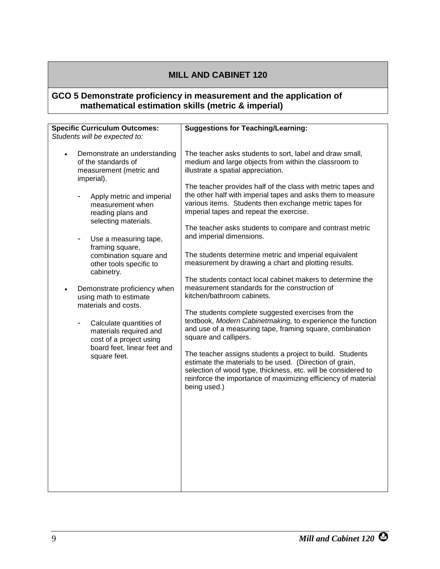#### <span id="page-14-0"></span>**GCO 5 Demonstrate proficiency in measurement and the application of mathematical estimation skills (metric & imperial)**

| <b>Specific Curriculum Outcomes:</b>                                                                                                                                                                                                                                                                                                                                                                                                                                                                                                                                                                                   | <b>Suggestions for Teaching/Learning:</b>                                                                                                                                                                                                                                                                                                                                                                                                                                                                                                                                                                                                                                                                                                                                                                                                                                                                                                                                                                                                                                                                                                                                                                                            |
|------------------------------------------------------------------------------------------------------------------------------------------------------------------------------------------------------------------------------------------------------------------------------------------------------------------------------------------------------------------------------------------------------------------------------------------------------------------------------------------------------------------------------------------------------------------------------------------------------------------------|--------------------------------------------------------------------------------------------------------------------------------------------------------------------------------------------------------------------------------------------------------------------------------------------------------------------------------------------------------------------------------------------------------------------------------------------------------------------------------------------------------------------------------------------------------------------------------------------------------------------------------------------------------------------------------------------------------------------------------------------------------------------------------------------------------------------------------------------------------------------------------------------------------------------------------------------------------------------------------------------------------------------------------------------------------------------------------------------------------------------------------------------------------------------------------------------------------------------------------------|
| Students will be expected to:<br>Demonstrate an understanding<br>$\bullet$<br>of the standards of<br>measurement (metric and<br>imperial).<br>Apply metric and imperial<br>measurement when<br>reading plans and<br>selecting materials.<br>Use a measuring tape,<br>-<br>framing square,<br>combination square and<br>other tools specific to<br>cabinetry.<br>Demonstrate proficiency when<br>$\bullet$<br>using math to estimate<br>materials and costs.<br>Calculate quantities of<br>$\overline{\phantom{0}}$<br>materials required and<br>cost of a project using<br>board feet, linear feet and<br>square feet. | The teacher asks students to sort, label and draw small,<br>medium and large objects from within the classroom to<br>illustrate a spatial appreciation.<br>The teacher provides half of the class with metric tapes and<br>the other half with imperial tapes and asks them to measure<br>various items. Students then exchange metric tapes for<br>imperial tapes and repeat the exercise.<br>The teacher asks students to compare and contrast metric<br>and imperial dimensions.<br>The students determine metric and imperial equivalent<br>measurement by drawing a chart and plotting results.<br>The students contact local cabinet makers to determine the<br>measurement standards for the construction of<br>kitchen/bathroom cabinets.<br>The students complete suggested exercises from the<br>textbook, Modern Cabinetmaking, to experience the function<br>and use of a measuring tape, framing square, combination<br>square and callipers.<br>The teacher assigns students a project to build. Students<br>estimate the materials to be used. (Direction of grain,<br>selection of wood type, thickness, etc. will be considered to<br>reinforce the importance of maximizing efficiency of material<br>being used.) |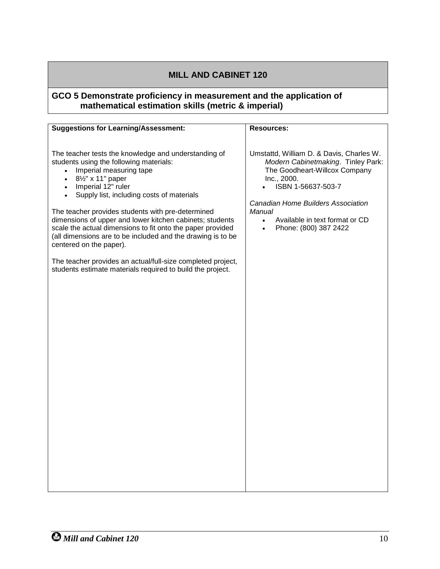#### **GCO 5 Demonstrate proficiency in measurement and the application of mathematical estimation skills (metric & imperial)**

| <b>Suggestions for Learning/Assessment:</b>                                                                                                                                                                                                                                                                                                                                                                                                                                                                                                                                                                                                                                  | <b>Resources:</b>                                                                                                                                                                                                                                                                         |
|------------------------------------------------------------------------------------------------------------------------------------------------------------------------------------------------------------------------------------------------------------------------------------------------------------------------------------------------------------------------------------------------------------------------------------------------------------------------------------------------------------------------------------------------------------------------------------------------------------------------------------------------------------------------------|-------------------------------------------------------------------------------------------------------------------------------------------------------------------------------------------------------------------------------------------------------------------------------------------|
| The teacher tests the knowledge and understanding of<br>students using the following materials:<br>Imperial measuring tape<br>$\bullet$<br>81/2" x 11" paper<br>$\bullet$<br>Imperial 12" ruler<br>$\bullet$<br>Supply list, including costs of materials<br>$\bullet$<br>The teacher provides students with pre-determined<br>dimensions of upper and lower kitchen cabinets; students<br>scale the actual dimensions to fit onto the paper provided<br>(all dimensions are to be included and the drawing is to be<br>centered on the paper).<br>The teacher provides an actual/full-size completed project,<br>students estimate materials required to build the project. | Umstattd, William D. & Davis, Charles W.<br>Modern Cabinetmaking. Tinley Park:<br>The Goodheart-Willcox Company<br>Inc., 2000.<br>ISBN 1-56637-503-7<br>Canadian Home Builders Association<br>Manual<br>Available in text format or CD<br>$\bullet$<br>Phone: (800) 387 2422<br>$\bullet$ |
|                                                                                                                                                                                                                                                                                                                                                                                                                                                                                                                                                                                                                                                                              |                                                                                                                                                                                                                                                                                           |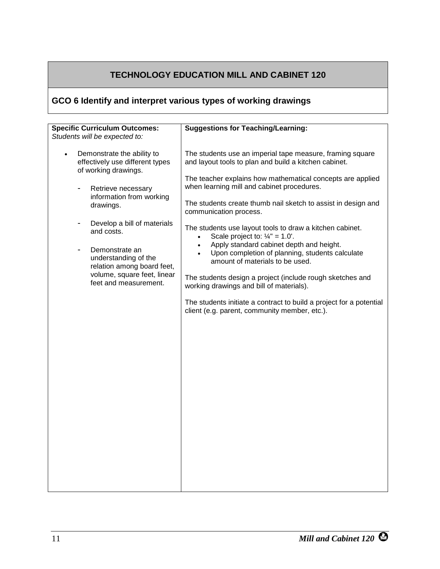# **TECHNOLOGY EDUCATION MILL AND CABINET 120**

# <span id="page-16-0"></span>**GCO 6 Identify and interpret various types of working drawings**

| <b>Specific Curriculum Outcomes:</b>                                                               | <b>Suggestions for Teaching/Learning:</b>                                                                                                                                 |
|----------------------------------------------------------------------------------------------------|---------------------------------------------------------------------------------------------------------------------------------------------------------------------------|
| Students will be expected to:                                                                      |                                                                                                                                                                           |
| Demonstrate the ability to<br>$\bullet$<br>effectively use different types<br>of working drawings. | The students use an imperial tape measure, framing square<br>and layout tools to plan and build a kitchen cabinet.                                                        |
| Retrieve necessary<br>information from working<br>drawings.                                        | The teacher explains how mathematical concepts are applied<br>when learning mill and cabinet procedures.<br>The students create thumb nail sketch to assist in design and |
|                                                                                                    | communication process.                                                                                                                                                    |
| Develop a bill of materials<br>-<br>and costs.                                                     | The students use layout tools to draw a kitchen cabinet.<br>Scale project to: $1/4" = 1.0'.$<br>$\bullet$                                                                 |
| Demonstrate an<br>understanding of the<br>relation among board feet,                               | Apply standard cabinet depth and height.<br>$\bullet$<br>Upon completion of planning, students calculate<br>amount of materials to be used.                               |
| volume, square feet, linear<br>feet and measurement.                                               | The students design a project (include rough sketches and<br>working drawings and bill of materials).                                                                     |
|                                                                                                    | The students initiate a contract to build a project for a potential<br>client (e.g. parent, community member, etc.).                                                      |
|                                                                                                    |                                                                                                                                                                           |
|                                                                                                    |                                                                                                                                                                           |
|                                                                                                    |                                                                                                                                                                           |
|                                                                                                    |                                                                                                                                                                           |
|                                                                                                    |                                                                                                                                                                           |
|                                                                                                    |                                                                                                                                                                           |
|                                                                                                    |                                                                                                                                                                           |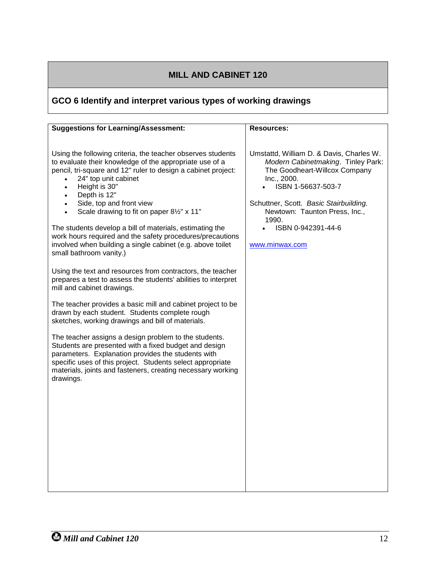# **GCO 6 Identify and interpret various types of working drawings**

| <b>Suggestions for Learning/Assessment:</b>                                                                                                                                                                                                                                                                    | <b>Resources:</b>                                                                                                                                    |
|----------------------------------------------------------------------------------------------------------------------------------------------------------------------------------------------------------------------------------------------------------------------------------------------------------------|------------------------------------------------------------------------------------------------------------------------------------------------------|
|                                                                                                                                                                                                                                                                                                                |                                                                                                                                                      |
| Using the following criteria, the teacher observes students<br>to evaluate their knowledge of the appropriate use of a<br>pencil, tri-square and 12" ruler to design a cabinet project:<br>24" top unit cabinet<br>$\bullet$<br>Height is 30"<br>$\bullet$<br>Depth is 12"<br>$\bullet$                        | Umstattd, William D. & Davis, Charles W.<br>Modern Cabinetmaking. Tinley Park:<br>The Goodheart-Willcox Company<br>Inc., 2000.<br>ISBN 1-56637-503-7 |
| Side, top and front view<br>$\bullet$<br>Scale drawing to fit on paper 81/2" x 11"<br>$\bullet$                                                                                                                                                                                                                | Schuttner, Scott. Basic Stairbuilding.<br>Newtown: Taunton Press, Inc.,<br>1990.                                                                     |
| The students develop a bill of materials, estimating the<br>work hours required and the safety procedures/precautions                                                                                                                                                                                          | ISBN 0-942391-44-6                                                                                                                                   |
| involved when building a single cabinet (e.g. above toilet<br>small bathroom vanity.)                                                                                                                                                                                                                          | www.minwax.com                                                                                                                                       |
| Using the text and resources from contractors, the teacher<br>prepares a test to assess the students' abilities to interpret<br>mill and cabinet drawings.                                                                                                                                                     |                                                                                                                                                      |
| The teacher provides a basic mill and cabinet project to be<br>drawn by each student. Students complete rough<br>sketches, working drawings and bill of materials.                                                                                                                                             |                                                                                                                                                      |
| The teacher assigns a design problem to the students.<br>Students are presented with a fixed budget and design<br>parameters. Explanation provides the students with<br>specific uses of this project. Students select appropriate<br>materials, joints and fasteners, creating necessary working<br>drawings. |                                                                                                                                                      |
|                                                                                                                                                                                                                                                                                                                |                                                                                                                                                      |
|                                                                                                                                                                                                                                                                                                                |                                                                                                                                                      |
|                                                                                                                                                                                                                                                                                                                |                                                                                                                                                      |
|                                                                                                                                                                                                                                                                                                                |                                                                                                                                                      |
|                                                                                                                                                                                                                                                                                                                |                                                                                                                                                      |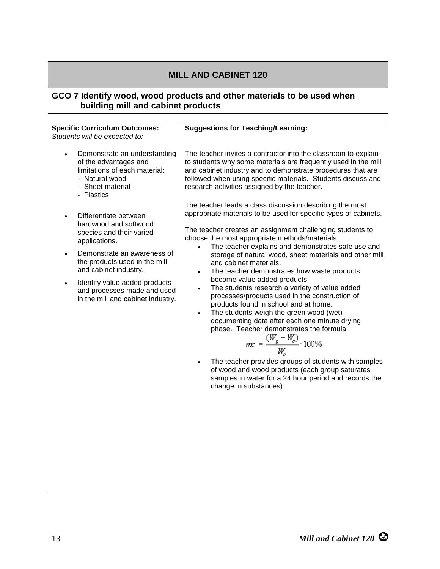#### <span id="page-18-0"></span>**GCO 7 Identify wood, wood products and other materials to be used when building mill and cabinet products**

| <b>Specific Curriculum Outcomes:</b>                                                                                                                                                                                 | <b>Suggestions for Teaching/Learning:</b>                                                                                                                                                                                                                                                                                                                                                                                                             |
|----------------------------------------------------------------------------------------------------------------------------------------------------------------------------------------------------------------------|-------------------------------------------------------------------------------------------------------------------------------------------------------------------------------------------------------------------------------------------------------------------------------------------------------------------------------------------------------------------------------------------------------------------------------------------------------|
| Students will be expected to:                                                                                                                                                                                        |                                                                                                                                                                                                                                                                                                                                                                                                                                                       |
| Demonstrate an understanding<br>$\bullet$<br>of the advantages and<br>limitations of each material:<br>- Natural wood<br>- Sheet material<br>- Plastics<br>Differentiate between<br>hardwood and softwood            | The teacher invites a contractor into the classroom to explain<br>to students why some materials are frequently used in the mill<br>and cabinet industry and to demonstrate procedures that are<br>followed when using specific materials. Students discuss and<br>research activities assigned by the teacher.<br>The teacher leads a class discussion describing the most<br>appropriate materials to be used for specific types of cabinets.       |
| species and their varied<br>applications.                                                                                                                                                                            | The teacher creates an assignment challenging students to<br>choose the most appropriate methods/materials.                                                                                                                                                                                                                                                                                                                                           |
| Demonstrate an awareness of<br>$\bullet$<br>the products used in the mill<br>and cabinet industry.<br>Identify value added products<br>$\bullet$<br>and processes made and used<br>in the mill and cabinet industry. | The teacher explains and demonstrates safe use and<br>$\bullet$<br>storage of natural wood, sheet materials and other mill<br>and cabinet materials.<br>The teacher demonstrates how waste products<br>$\bullet$<br>become value added products.<br>The students research a variety of value added<br>processes/products used in the construction of<br>products found in school and at home.<br>The students weigh the green wood (wet)<br>$\bullet$ |
|                                                                                                                                                                                                                      | documenting data after each one minute drying<br>phase. Teacher demonstrates the formula:<br>$m\hspace{-0.6mm}c = \frac{(W_{\hspace{-0.6mm}\textit{g}} - W_{\hspace{-0.6mm}\textit{o}})}{W_{\hspace{-0.6mm}\textit{o}}} \cdot 100\%$<br>The teacher provides groups of students with samples<br>$\bullet$                                                                                                                                             |
|                                                                                                                                                                                                                      | of wood and wood products (each group saturates<br>samples in water for a 24 hour period and records the<br>change in substances).                                                                                                                                                                                                                                                                                                                    |
|                                                                                                                                                                                                                      |                                                                                                                                                                                                                                                                                                                                                                                                                                                       |
|                                                                                                                                                                                                                      |                                                                                                                                                                                                                                                                                                                                                                                                                                                       |
|                                                                                                                                                                                                                      |                                                                                                                                                                                                                                                                                                                                                                                                                                                       |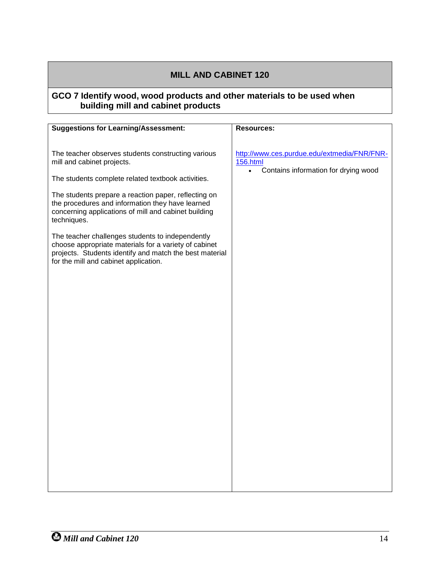#### **GCO 7 Identify wood, wood products and other materials to be used when building mill and cabinet products**

| <b>Suggestions for Learning/Assessment:</b>                                                                                                                                                                   | <b>Resources:</b>                                                                                                   |
|---------------------------------------------------------------------------------------------------------------------------------------------------------------------------------------------------------------|---------------------------------------------------------------------------------------------------------------------|
|                                                                                                                                                                                                               |                                                                                                                     |
| The teacher observes students constructing various<br>mill and cabinet projects.                                                                                                                              | http://www.ces.purdue.edu/extmedia/FNR/FNR-<br><b>156.html</b><br>Contains information for drying wood<br>$\bullet$ |
| The students complete related textbook activities.                                                                                                                                                            |                                                                                                                     |
| The students prepare a reaction paper, reflecting on<br>the procedures and information they have learned<br>concerning applications of mill and cabinet building<br>techniques.                               |                                                                                                                     |
| The teacher challenges students to independently<br>choose appropriate materials for a variety of cabinet<br>projects. Students identify and match the best material<br>for the mill and cabinet application. |                                                                                                                     |
|                                                                                                                                                                                                               |                                                                                                                     |
|                                                                                                                                                                                                               |                                                                                                                     |
|                                                                                                                                                                                                               |                                                                                                                     |
|                                                                                                                                                                                                               |                                                                                                                     |
|                                                                                                                                                                                                               |                                                                                                                     |
|                                                                                                                                                                                                               |                                                                                                                     |
|                                                                                                                                                                                                               |                                                                                                                     |
|                                                                                                                                                                                                               |                                                                                                                     |
|                                                                                                                                                                                                               |                                                                                                                     |
|                                                                                                                                                                                                               |                                                                                                                     |
|                                                                                                                                                                                                               |                                                                                                                     |
|                                                                                                                                                                                                               |                                                                                                                     |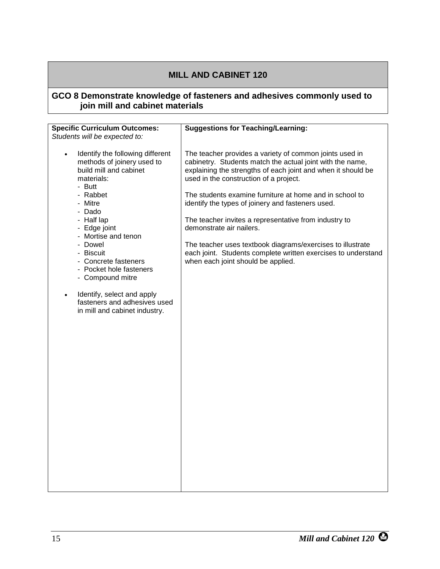#### <span id="page-20-0"></span>**GCO 8 Demonstrate knowledge of fasteners and adhesives commonly used to join mill and cabinet materials**

| <b>Specific Curriculum Outcomes:</b>                                    | <b>Suggestions for Teaching/Learning:</b>                                                                                                                         |
|-------------------------------------------------------------------------|-------------------------------------------------------------------------------------------------------------------------------------------------------------------|
| Students will be expected to:                                           |                                                                                                                                                                   |
| Identify the following different<br>$\bullet$                           | The teacher provides a variety of common joints used in                                                                                                           |
| methods of joinery used to<br>build mill and cabinet<br>materials:      | cabinetry. Students match the actual joint with the name,<br>explaining the strengths of each joint and when it should be                                         |
| - Butt                                                                  | used in the construction of a project.                                                                                                                            |
| - Rabbet<br>- Mitre                                                     | The students examine furniture at home and in school to<br>identify the types of joinery and fasteners used.                                                      |
| - Dado<br>- Half lap                                                    | The teacher invites a representative from industry to                                                                                                             |
| - Edge joint<br>- Mortise and tenon                                     | demonstrate air nailers.                                                                                                                                          |
| - Dowel<br>- Biscuit<br>- Concrete fasteners                            | The teacher uses textbook diagrams/exercises to illustrate<br>each joint. Students complete written exercises to understand<br>when each joint should be applied. |
| - Pocket hole fasteners<br>- Compound mitre                             |                                                                                                                                                                   |
| Identify, select and apply<br>$\bullet$<br>fasteners and adhesives used |                                                                                                                                                                   |
| in mill and cabinet industry.                                           |                                                                                                                                                                   |
|                                                                         |                                                                                                                                                                   |
|                                                                         |                                                                                                                                                                   |
|                                                                         |                                                                                                                                                                   |
|                                                                         |                                                                                                                                                                   |
|                                                                         |                                                                                                                                                                   |
|                                                                         |                                                                                                                                                                   |
|                                                                         |                                                                                                                                                                   |
|                                                                         |                                                                                                                                                                   |
|                                                                         |                                                                                                                                                                   |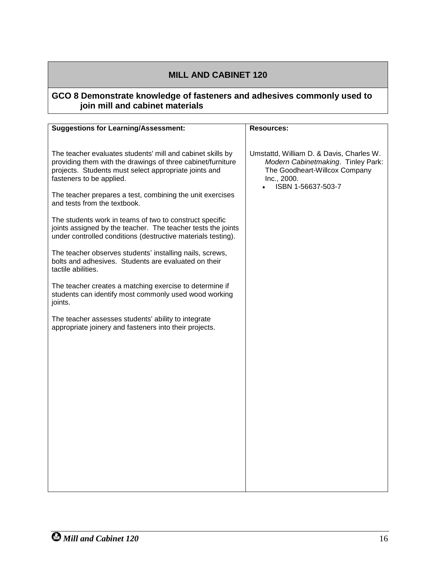#### **GCO 8 Demonstrate knowledge of fasteners and adhesives commonly used to join mill and cabinet materials**

| <b>Suggestions for Learning/Assessment:</b>                                                                                                                                                                    | <b>Resources:</b>                                                                                                                                    |
|----------------------------------------------------------------------------------------------------------------------------------------------------------------------------------------------------------------|------------------------------------------------------------------------------------------------------------------------------------------------------|
|                                                                                                                                                                                                                |                                                                                                                                                      |
| The teacher evaluates students' mill and cabinet skills by<br>providing them with the drawings of three cabinet/furniture<br>projects. Students must select appropriate joints and<br>fasteners to be applied. | Umstattd, William D. & Davis, Charles W.<br>Modern Cabinetmaking. Tinley Park:<br>The Goodheart-Willcox Company<br>Inc., 2000.<br>ISBN 1-56637-503-7 |
| The teacher prepares a test, combining the unit exercises<br>and tests from the textbook.                                                                                                                      |                                                                                                                                                      |
| The students work in teams of two to construct specific<br>joints assigned by the teacher. The teacher tests the joints<br>under controlled conditions (destructive materials testing).                        |                                                                                                                                                      |
| The teacher observes students' installing nails, screws,<br>bolts and adhesives. Students are evaluated on their<br>tactile abilities.                                                                         |                                                                                                                                                      |
| The teacher creates a matching exercise to determine if<br>students can identify most commonly used wood working<br>joints.                                                                                    |                                                                                                                                                      |
| The teacher assesses students' ability to integrate<br>appropriate joinery and fasteners into their projects.                                                                                                  |                                                                                                                                                      |
|                                                                                                                                                                                                                |                                                                                                                                                      |
|                                                                                                                                                                                                                |                                                                                                                                                      |
|                                                                                                                                                                                                                |                                                                                                                                                      |
|                                                                                                                                                                                                                |                                                                                                                                                      |
|                                                                                                                                                                                                                |                                                                                                                                                      |
|                                                                                                                                                                                                                |                                                                                                                                                      |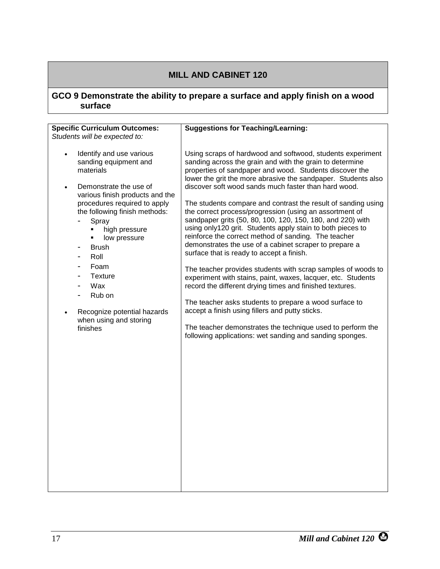#### <span id="page-22-0"></span>**GCO 9 Demonstrate the ability to prepare a surface and apply finish on a wood surface**

| <b>Specific Curriculum Outcomes:</b>                                                                                                                                                                                                                                                                                                                                                                                                                                       | <b>Suggestions for Teaching/Learning:</b>                                                                                                                                                                                                                                                                                                                                                                                                                                                                                                                                                                                                                                                                                                                                                                                                                                                                                                                                                                                                                                                                                                                            |
|----------------------------------------------------------------------------------------------------------------------------------------------------------------------------------------------------------------------------------------------------------------------------------------------------------------------------------------------------------------------------------------------------------------------------------------------------------------------------|----------------------------------------------------------------------------------------------------------------------------------------------------------------------------------------------------------------------------------------------------------------------------------------------------------------------------------------------------------------------------------------------------------------------------------------------------------------------------------------------------------------------------------------------------------------------------------------------------------------------------------------------------------------------------------------------------------------------------------------------------------------------------------------------------------------------------------------------------------------------------------------------------------------------------------------------------------------------------------------------------------------------------------------------------------------------------------------------------------------------------------------------------------------------|
| Students will be expected to:                                                                                                                                                                                                                                                                                                                                                                                                                                              |                                                                                                                                                                                                                                                                                                                                                                                                                                                                                                                                                                                                                                                                                                                                                                                                                                                                                                                                                                                                                                                                                                                                                                      |
| Identify and use various<br>$\bullet$<br>sanding equipment and<br>materials<br>Demonstrate the use of<br>$\bullet$<br>various finish products and the<br>procedures required to apply<br>the following finish methods:<br>Spray<br>high pressure<br>٠<br>low pressure<br><b>Brush</b><br>-<br>Roll<br>$\overline{a}$<br>Foam<br>$\overline{\phantom{0}}$<br><b>Texture</b><br>-<br>Wax<br>Rub on<br>Recognize potential hazards<br>٠<br>when using and storing<br>finishes | Using scraps of hardwood and softwood, students experiment<br>sanding across the grain and with the grain to determine<br>properties of sandpaper and wood. Students discover the<br>lower the grit the more abrasive the sandpaper. Students also<br>discover soft wood sands much faster than hard wood.<br>The students compare and contrast the result of sanding using<br>the correct process/progression (using an assortment of<br>sandpaper grits (50, 80, 100, 120, 150, 180, and 220) with<br>using only120 grit. Students apply stain to both pieces to<br>reinforce the correct method of sanding. The teacher<br>demonstrates the use of a cabinet scraper to prepare a<br>surface that is ready to accept a finish.<br>The teacher provides students with scrap samples of woods to<br>experiment with stains, paint, waxes, lacquer, etc. Students<br>record the different drying times and finished textures.<br>The teacher asks students to prepare a wood surface to<br>accept a finish using fillers and putty sticks.<br>The teacher demonstrates the technique used to perform the<br>following applications: wet sanding and sanding sponges. |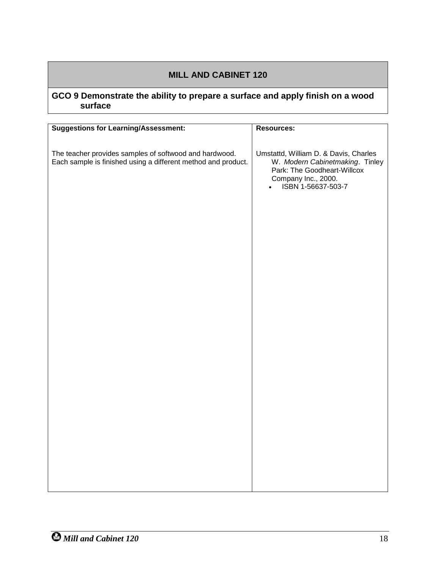### **GCO 9 Demonstrate the ability to prepare a surface and apply finish on a wood surface**

| <b>Suggestions for Learning/Assessment:</b>                                                                             | Resources:                                                                                                                                                        |
|-------------------------------------------------------------------------------------------------------------------------|-------------------------------------------------------------------------------------------------------------------------------------------------------------------|
| The teacher provides samples of softwood and hardwood.<br>Each sample is finished using a different method and product. | Umstattd, William D. & Davis, Charles<br>W. Modern Cabinetmaking. Tinley<br>Park: The Goodheart-Willcox<br>Company Inc., 2000.<br>ISBN 1-56637-503-7<br>$\bullet$ |
|                                                                                                                         |                                                                                                                                                                   |
|                                                                                                                         |                                                                                                                                                                   |
|                                                                                                                         |                                                                                                                                                                   |
|                                                                                                                         |                                                                                                                                                                   |
|                                                                                                                         |                                                                                                                                                                   |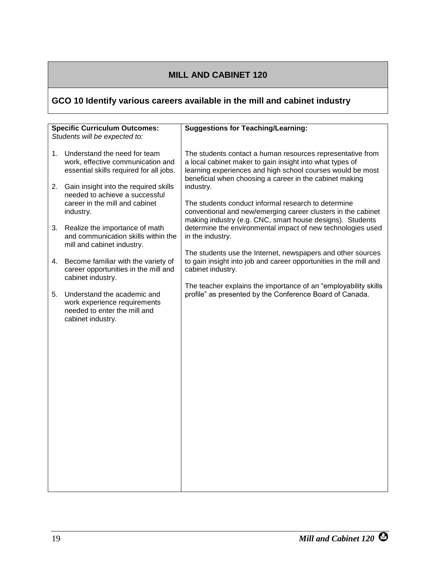# <span id="page-24-0"></span>**GCO 10 Identify various careers available in the mill and cabinet industry**

|          | <b>Specific Curriculum Outcomes:</b>                                                                                                                                                                                                   | <b>Suggestions for Teaching/Learning:</b>                                                                                                                                                                                                                                                                                                                                           |
|----------|----------------------------------------------------------------------------------------------------------------------------------------------------------------------------------------------------------------------------------------|-------------------------------------------------------------------------------------------------------------------------------------------------------------------------------------------------------------------------------------------------------------------------------------------------------------------------------------------------------------------------------------|
|          | Students will be expected to:                                                                                                                                                                                                          |                                                                                                                                                                                                                                                                                                                                                                                     |
| 1.<br>2. | Understand the need for team<br>work, effective communication and<br>essential skills required for all jobs.<br>Gain insight into the required skills<br>needed to achieve a successful<br>career in the mill and cabinet<br>industry. | The students contact a human resources representative from<br>a local cabinet maker to gain insight into what types of<br>learning experiences and high school courses would be most<br>beneficial when choosing a career in the cabinet making<br>industry.<br>The students conduct informal research to determine<br>conventional and new/emerging career clusters in the cabinet |
| 3.       | Realize the importance of math<br>and communication skills within the<br>mill and cabinet industry.                                                                                                                                    | making industry (e.g. CNC, smart house designs). Students<br>determine the environmental impact of new technologies used<br>in the industry.                                                                                                                                                                                                                                        |
| 4.       | Become familiar with the variety of<br>career opportunities in the mill and                                                                                                                                                            | The students use the Internet, newspapers and other sources<br>to gain insight into job and career opportunities in the mill and<br>cabinet industry.                                                                                                                                                                                                                               |
| 5.       | cabinet industry.<br>Understand the academic and<br>work experience requirements<br>needed to enter the mill and<br>cabinet industry.                                                                                                  | The teacher explains the importance of an "employability skills<br>profile" as presented by the Conference Board of Canada.                                                                                                                                                                                                                                                         |